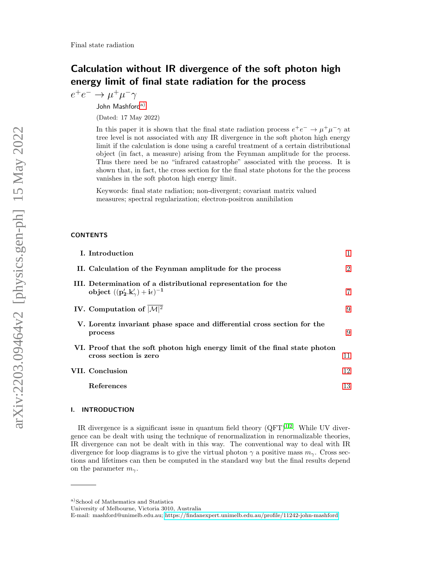# Calculation without IR divergence of the soft photon high energy limit of final state radiation for the process

 $e^+e^- \to \mu^+\mu^-\gamma$ 

John Mashford<sup>[a\)](#page-0-0)</sup>

(Dated: 17 May 2022)

In this paper it is shown that the final state radiation process  $e^+e^- \to \mu^+\mu^-\gamma$  at tree level is not associated with any IR divergence in the soft photon high energy limit if the calculation is done using a careful treatment of a certain distributional object (in fact, a measure) arising from the Feynman amplitude for the process. Thus there need be no "infrared catastrophe" associated with the process. It is shown that, in fact, the cross section for the final state photons for the the process vanishes in the soft photon high energy limit.

Keywords: final state radiation; non-divergent; covariant matrix valued measures; spectral regularization; electron-positron annihilation

### **CONTENTS**

| I. Introduction                                                                                             |                |
|-------------------------------------------------------------------------------------------------------------|----------------|
| II. Calculation of the Feynman amplitude for the process                                                    | $\overline{2}$ |
| III. Determination of a distributional representation for the<br>object $((p'_2.k'_\gamma)+i\epsilon)^{-1}$ | 7              |
| IV. Computation of $ \mathcal{M} ^2$                                                                        | 9              |
| V. Lorentz invariant phase space and differential cross section for the<br>process                          | 9              |
| VI. Proof that the soft photon high energy limit of the final state photon<br>cross section is zero         | 11             |
| VII. Conclusion                                                                                             | 12             |
| References                                                                                                  | 13             |
|                                                                                                             |                |

### <span id="page-0-1"></span>I. INTRODUCTION

IR divergence is a significant issue in quantum field theory  $(QFT)^{1,2}$  $(QFT)^{1,2}$  $(QFT)^{1,2}$  $(QFT)^{1,2}$ . While UV divergence can be dealt with using the technique of renormalization in renormalizable theories, IR divergence can not be dealt with in this way. The conventional way to deal with IR divergence for loop diagrams is to give the virtual photon  $\gamma$  a positive mass  $m_{\gamma}$ . Cross sections and lifetimes can then be computed in the standard way but the final results depend on the parameter  $m_{\gamma}$ .

<span id="page-0-0"></span>a)School of Mathematics and Statistics

University of Melbourne, Victoria 3010, Australia

E-mail: mashford@unimelb.edu.au;<https://findanexpert.unimelb.edu.au/profile/11242-john-mashford>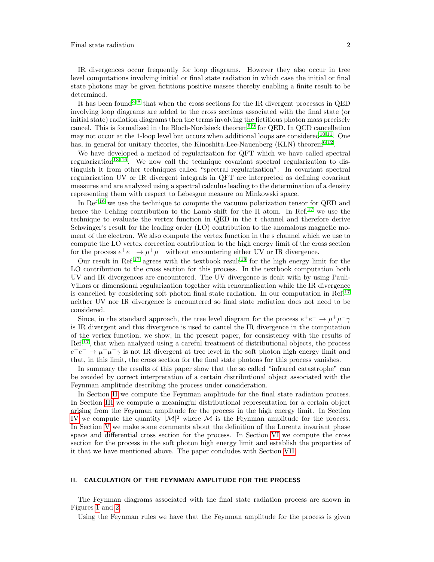IR divergences occur frequently for loop diagrams. However they also occur in tree level computations involving initial or final state radiation in which case the initial or final state photons may be given fictitious positive masses thereby enabling a finite result to be determined.

It has been found<sup>[3](#page-12-3)[–8](#page-12-4)</sup> that when the cross sections for the IR divergent processes in QED involving loop diagrams are added to the cross sections associated with the final state (or initial state) radiation diagrams then the terms involving the fictitious photon mass precisely cancel. This is formalized in the Bloch-Nordsieck theorem<sup>[5,](#page-12-5)[9](#page-12-6)</sup> for QED. In QCD cancellation may not occur at the 1-loop level but occurs when additional loops are considered<sup>[10](#page-12-7)[,11](#page-12-8)</sup>. One has, in general for unitary theories, the Kinoshita-Lee-Nauenberg (KLN) theorem<sup>[6,](#page-12-9)[12](#page-12-10)</sup>.

We have developed a method of regularization for QFT which we have called spectral regularization<sup>[13–](#page-12-11)[16](#page-12-12)</sup>. We now call the technique covariant spectral regularization to distinguish it from other techniques called "spectral regularization". In covariant spectral regularization UV or IR divergent integrals in QFT are interpreted as defining covariant measures and are analyzed using a spectral calculus leading to the determination of a density representing them with respect to Lebesgue measure on Minkowski space.

In Ref.[16](#page-12-12) we use the technique to compute the vacuum polarization tensor for QED and hence the Uehling contribution to the Lamb shift for the H atom. In Ref.<sup>[17](#page-12-13)</sup> we use the technique to evaluate the vertex function in QED in the t channel and therefore derive Schwinger's result for the leading order (LO) contribution to the anomalous magnetic moment of the electron. We also compute the vertex function in the s channel which we use to compute the LO vertex correction contribution to the high energy limit of the cross section for the process  $e^+e^- \to \mu^+\mu^-$  without encountering either UV or IR divergence.

Our result in Ref.<sup>[17](#page-12-13)</sup> agrees with the textbook result<sup>[18](#page-12-14)</sup> for the high energy limit for the LO contribution to the cross section for this process. In the textbook computation both UV and IR divergences are encountered. The UV divergence is dealt with by using Pauli-Villars or dimensional regularization together with renormalization while the IR divergence is cancelled by considering soft photon final state radiation. In our computation in Ref.<sup>[17](#page-12-13)</sup> neither UV nor IR divergence is encountered so final state radiation does not need to be considered.

Since, in the standard approach, the tree level diagram for the process  $e^+e^- \to \mu^+\mu^-\gamma$ is IR divergent and this divergence is used to cancel the IR divergence in the computation of the vertex function, we show, in the present paper, for consistency with the results of Ref.[17](#page-12-13), that when analyzed using a careful treatment of distributional objects, the process  $e^+e^- \to \mu^+\mu^-\gamma$  is not IR divergent at tree level in the soft photon high energy limit and that, in this limit, the cross section for the final state photons for this process vanishes.

In summary the results of this paper show that the so called "infrared catastrophe" can be avoided by correct interpretation of a certain distributional object associated with the Feynman amplitude describing the process under consideration.

In Section [II](#page-1-0) we compute the Feynman amplitude for the final state radiation process. In Section [III](#page-6-0) we compute a meaningful distributional representation for a certain object arising from the Feynman amplitude for the process in the high energy limit. In Section [IV](#page-8-0) we compute the quantity  $|M|^2$  where M is the Feynman amplitude for the process. In Section [V](#page-8-1) we make some comments about the definition of the Lorentz invariant phase space and differential cross section for the process. In Section [VI](#page-10-0) we compute the cross section for the process in the soft photon high energy limit and establish the properties of it that we have mentioned above. The paper concludes with Section [VII.](#page-11-0)

### <span id="page-1-0"></span>II. CALCULATION OF THE FEYNMAN AMPLITUDE FOR THE PROCESS

The Feynman diagrams associated with the final state radiation process are shown in Figures [1](#page-2-0) and [2.](#page-2-1)

Using the Feynman rules we have that the Feynman amplitude for the process is given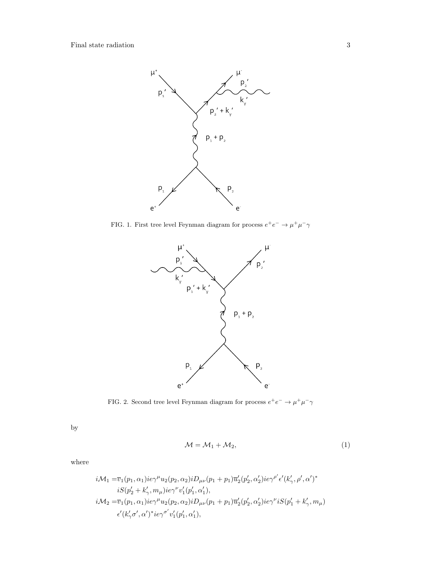

FIG. 1. First tree level Feynman diagram for process  $e^+e^- \to \mu^+\mu^-\gamma$ 

<span id="page-2-0"></span>

<span id="page-2-1"></span>FIG. 2. Second tree level Feynman diagram for process  $e^+e^- \to \mu^+\mu^-\gamma$ 

by

$$
\mathcal{M} = \mathcal{M}_1 + \mathcal{M}_2,\tag{1}
$$

where

$$
i\mathcal{M}_1 = \overline{v}_1(p_1, \alpha_1)ie\gamma^{\mu}u_2(p_2, \alpha_2)iD_{\mu\nu}(p_1 + p_1)\overline{u}'_2(p'_2, \alpha'_2)ie\gamma^{\rho'}\epsilon'(k'_{\gamma}, \rho', \alpha')^*
$$
  
\n
$$
iS(p'_2 + k'_{\gamma}, m_{\mu})ie\gamma^{\nu}v'_1(p'_1, \alpha'_1),
$$
  
\n
$$
i\mathcal{M}_2 = \overline{v}_1(p_1, \alpha_1)ie\gamma^{\mu}u_2(p_2, \alpha_2)iD_{\mu\nu}(p_1 + p_1)\overline{u}'_2(p'_2, \alpha'_2)ie\gamma^{\nu}iS(p'_1 + k'_{\gamma}, m_{\mu})
$$
  
\n
$$
\epsilon'(k'_{\gamma}\sigma', \alpha')^*ie\gamma^{\sigma'}v'_1(p'_1, \alpha'_1),
$$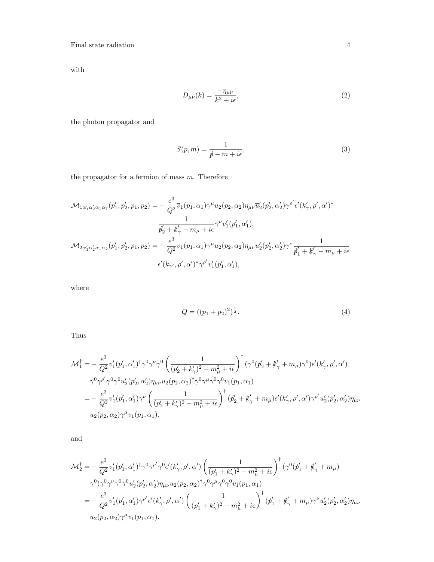with

$$
D_{\mu\nu}(k) = \frac{-\eta_{\mu\nu}}{k^2 + i\epsilon},\tag{2}
$$

the photon propagator and

$$
S(p,m) = \frac{1}{p\!\!\!/ - m + i\epsilon},\tag{3}
$$

the propagator for a fermion of mass  $m$ . Therefore

$$
\mathcal{M}_{1\alpha'_1\alpha'_2\alpha_1\alpha_2}(p'_1, p'_2, p_1, p_2) = -\frac{e^3}{Q^2}\overline{v}_1(p_1, \alpha_1)\gamma^\mu u_2(p_2, \alpha_2)\eta_{\mu\nu}\overline{u}'_2(p'_2, \alpha'_2)\gamma^{\rho'}\epsilon'(k'_{\gamma}, \rho', \alpha')^*
$$

$$
\frac{1}{p'_2 + k'_{\gamma} - m_{\mu} + i\epsilon} \gamma^{\nu}v'_1(p'_1, \alpha'_1),
$$

$$
\mathcal{M}_{2\alpha'_1\alpha'_2\alpha_1\alpha_2}(p'_1, p'_2, p_1, p_2) = -\frac{e^3}{Q^2}\overline{v}_1(p_1, \alpha_1)\gamma^\mu u_2(p_2, \alpha_2)\eta_{\mu\nu}\overline{u}'_2(p'_2, \alpha'_2)\gamma^\nu \frac{1}{p'_1 + k'_{\gamma} - m_{\mu} + i\epsilon}
$$

$$
\epsilon'(k_{\gamma'}, \rho', \alpha')^*\gamma^{\rho'}v'_1(p'_1, \alpha'_1),
$$

where

$$
Q = ((p_1 + p_2)^2)^{\frac{1}{2}}.
$$
\n(4)

Thus

$$
\begin{split} \mathcal{M}^{\dagger}_{1} & = -\frac{e^{3}}{Q^{2}}v_{1}^{\prime}(p_{1}^{\prime},\alpha_{1}^{\prime})^{\dagger}\gamma^{0}\gamma^{\nu}\gamma^{0}\left(\frac{1}{(p_{2}^{\prime}+k_{\gamma}^{\prime})^{2}-m_{\mu}^{2}+i\epsilon}\right)^{\dagger}(\gamma^{0}(p_{2}^{\prime}+k_{\gamma}^{\prime}+m_{\mu})\gamma^{0})\epsilon^{\prime}(k_{\gamma}^{\prime},\rho^{\prime},\alpha^{\prime}) \\ & \gamma^{0}\gamma^{\rho^{\prime}}\gamma^{0}\gamma^{0}u_{2}^{\prime}(p_{2}^{\prime},\alpha_{2}^{\prime})\eta_{\mu\nu}u_{2}(p_{2},\alpha_{2})^{\dagger}\gamma^{0}\gamma^{\mu}\gamma^{0}\gamma^{0}v_{1}(p_{1},\alpha_{1}) \\ & = -\frac{e^{3}}{Q^{2}}\overline{v}_{1}^{\prime}(p_{1}^{\prime},\alpha_{1}^{\prime})\gamma^{\nu}\left(\frac{1}{(p_{2}^{\prime}+k_{\gamma}^{\prime})^{2}-m_{\mu}^{2}+i\epsilon}\right)^{\dagger}(p_{2}^{\prime}+k_{\gamma}^{\prime}+m_{\mu})\epsilon^{\prime}(k_{\gamma}^{\prime},\rho^{\prime},\alpha^{\prime})\gamma^{\rho^{\prime}}u_{2}^{\prime}(p_{2}^{\prime},\alpha_{2}^{\prime})\eta_{\mu\nu} \\ & \overline{u}_{2}(p_{2},\alpha_{2})\gamma^{\mu}v_{1}(p_{1},\alpha_{1}). \end{split}
$$

and

$$
\mathcal{M}_{2}^{\dagger} = -\frac{e^{3}}{Q^{2}} v_{1}^{\prime}(p_{1}^{\prime}, \alpha_{1}^{\prime})^{\dagger} \gamma^{0} \gamma^{\rho^{\prime}} \gamma^{0} \epsilon^{\prime}(k_{\gamma}^{\prime}, \rho^{\prime}, \alpha^{\prime}) \left(\frac{1}{(p_{1}^{\prime} + k_{\gamma}^{\prime})^{2} - m_{\mu}^{2} + i\epsilon}\right)^{\dagger} (\gamma^{0} (p_{1}^{\prime} + k_{\gamma}^{\prime} + m_{\mu})
$$
  

$$
\gamma^{0}) \gamma^{0} \gamma^{\nu} \gamma^{0} \gamma^{0} u_{2}^{\prime}(p_{2}, \alpha_{2}^{\prime}) \eta_{\mu\nu} u_{2}(p_{2}, \alpha_{2})^{\dagger} \gamma^{0} \gamma^{\mu} \gamma^{0} \gamma^{0} v_{1}(p_{1}, \alpha_{1})
$$
  

$$
= -\frac{e^{3}}{Q^{2}} \overline{v}_{1}^{\prime}(p_{1}^{\prime}, \alpha_{1}^{\prime}) \gamma^{\rho^{\prime}} \epsilon^{\prime}(k_{\gamma}^{\prime}, \rho^{\prime}, \alpha^{\prime}) \left(\frac{1}{(p_{1}^{\prime} + k_{\gamma}^{\prime})^{2} - m_{\mu}^{2} + i\epsilon}\right)^{\dagger} (p_{1}^{\prime} + k_{\gamma}^{\prime} + m_{\mu}) \gamma^{\nu} u_{2}^{\prime}(p_{2}^{\prime}, \alpha_{2}^{\prime}) \eta_{\mu\nu}
$$
  

$$
\overline{u}_{2}(p_{2}, \alpha_{2}) \gamma^{\mu} v_{1}(p_{1}, \alpha_{1}).
$$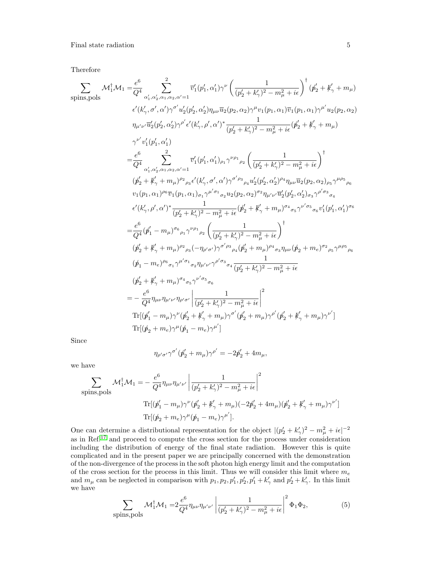Therefore

$$
\sum_{\text{spins},\text{pols}} \mathcal{M}_{1}^{\dagger} \mathcal{M}_{1} = \frac{e^{6}}{Q^{4}} \sum_{\alpha'_{1}, \alpha'_{2}, \alpha_{1}, \alpha_{2}, \alpha'=1}^2 \overline{v}'_{1}(p'_{1}, \alpha'_{1})\gamma^{\nu} \left(\frac{1}{(p'_{2} + k'_{\gamma})^{2} - m_{\mu}^{2} + i\epsilon}\right)^{\dagger} (p'_{2} + k'_{\gamma} + m_{\mu})
$$
\n
$$
\epsilon'(k'_{\gamma}, \sigma', \alpha')\gamma^{\sigma'} u'_{2}(p'_{2}, \alpha'_{2})\eta_{\mu\nu}\overline{u}_{2}(p_{2}, \alpha_{2})\gamma^{\mu}v_{1}(p_{1}, \alpha_{1})\overline{v}_{1}(p_{1}, \alpha_{1})\gamma^{\mu'} u_{2}(p_{2}, \alpha_{2})
$$
\n
$$
\eta_{\mu'\nu'}\overline{u}'_{2}(p'_{2}, \alpha'_{2})\gamma^{\rho'} \epsilon'(k'_{\gamma}, \rho', \alpha')^{*}\frac{1}{(p'_{2} + k'_{\gamma})^{2} - m_{\mu}^{2} + i\epsilon} (p'_{2} + k'_{\gamma} + m_{\mu})
$$
\n
$$
\gamma^{\nu'} v'_{1}(p'_{1}, \alpha'_{1})
$$
\n
$$
= \frac{e^{6}}{Q^{4}} \sum_{\alpha'_{1}, \alpha'_{2}, \alpha_{1}, \alpha_{2}, \alpha'=1}^2 \overline{v}'_{1}(p'_{1}, \alpha'_{1})_{\rho_{1}}\gamma^{\nu\rho_{1}}{}_{\rho_{2}} \left(\frac{1}{(p'_{2} + k'_{\gamma})^{2} - m_{\mu}^{2} + i\epsilon}\right)^{\dagger}
$$
\n
$$
(p'_{2} + k'_{\gamma} + m_{\mu})^{\rho_{2}}{}_{\rho_{3}}\epsilon'(k'_{\gamma}, \sigma', \alpha')\gamma^{\sigma'\rho_{3}}{}_{\rho_{4}}u'_{2}(p'_{2}, \alpha'_{2})^{\rho_{4}}\eta_{\mu\nu}\overline{u}_{2}(p_{2}, \alpha_{2})_{\rho_{5}}\gamma^{\mu\rho_{5}}{}_{\rho_{6}}
$$
\n
$$
v_{1}(p_{1}, \alpha_{1})^{\rho_{6}}\overline{v}_{1}(p_{1
$$

Since

$$
\eta_{\rho'\sigma'}\gamma^{\sigma'}(p'_2+m_\mu)\gamma^{\rho'}=-2p'_2+4m_\mu,
$$

we have

$$
\sum_{\text{spins, pols}} \mathcal{M}_1^{\dagger} \mathcal{M}_1 = -\frac{e^6}{Q^4} \eta_{\mu\nu} \eta_{\mu'\nu'} \left| \frac{1}{(p_2' + k_\gamma')^2 - m_\mu^2 + i\epsilon} \right|^2
$$
  

$$
\text{Tr}[(p_1' - m_\mu)\gamma^\nu(p_2' + k_\gamma' + m_\mu)(-2p_2' + 4m_\mu)(p_2' + k_\gamma' + m_\mu)\gamma^\nu]
$$
  

$$
\text{Tr}[(p_2' + m_e)\gamma^\mu(p_1' - m_e)\gamma^\mu].
$$

One can determine a distributional representation for the object  $|(p'_2 + k'_\gamma)^2 - m_\mu^2 + i\epsilon|^{-2}$ as in Ref.<sup>[17](#page-12-13)</sup> and proceed to compute the cross section for the process under consideration including the distribution of energy of the final state radiation. However this is quite complicated and in the present paper we are principally concerned with the demonstration of the non-divergence of the process in the soft photon high energy limit and the computation of the cross section for the process in this limit. Thus we will consider this limit where  $m_e$ and  $m_{\mu}$  can be neglected in comparison with  $p_1, p_2, p'_1, p'_2, p'_1 + k'_\gamma$  and  $p'_2 + k'_\gamma$ . In this limit we have

<span id="page-4-0"></span>
$$
\sum_{\text{spins, pols}} \mathcal{M}_1^{\dagger} \mathcal{M}_1 = 2 \frac{e^6}{Q^4} \eta_{\mu\nu} \eta_{\mu'\nu'} \left| \frac{1}{(p_2' + k_\gamma')^2 - m_\mu^2 + i\epsilon} \right|^2 \Phi_1 \Phi_2,\tag{5}
$$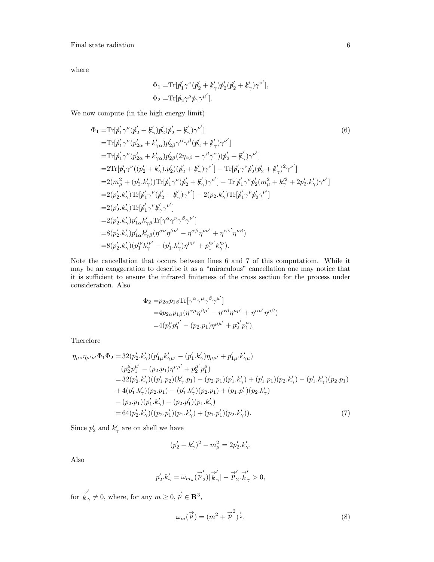where

<span id="page-5-1"></span>
$$
\begin{split} &\Phi_1 = \! \mathrm{Tr}[\not\!{p}_1' \gamma^\nu (\not\!{p}_2' + \not\!k_\gamma') \not\!{p}_2' (\not\!{p}_2' + \not\!k_\gamma') \gamma^{\nu'}], \\ &\Phi_2 = \! \mathrm{Tr}[\not\!{p}_2 \gamma^\mu \not\!{p}_1 \gamma^{\mu'}]. \end{split}
$$

We now compute (in the high energy limit)

$$
\Phi_1 = \text{Tr}[\not p_1' \gamma^{\nu} (\not p_2' + \not k_{\gamma}') \not p_2' (\not p_2' + \not k_{\gamma}') \gamma^{\nu'}]
$$
\n
$$
= \text{Tr}[\not p_1' \gamma^{\nu} (p_{2\alpha} + k_{\gamma\alpha}) p_{2\beta}' \gamma^{\alpha} \gamma^{\beta} (\not p_2' + \not k_{\gamma}') \gamma^{\nu'}]
$$
\n
$$
= \text{Tr}[\not p_1' \gamma^{\nu} (p_{2\alpha} + k_{\gamma\alpha}) p_{2\beta}' (2\eta_{\alpha\beta} - \gamma^{\beta} \gamma^{\alpha}) (\not p_2' + \not k_{\gamma}') \gamma^{\nu'}]
$$
\n
$$
= 2 \text{Tr}[\not p_1' \gamma^{\nu} ((p_2' + k_{\gamma}') . p_2') (\not p_2' + \not k_{\gamma}') \gamma^{\nu'}] - \text{Tr}[\not p_1' \gamma^{\nu} \not p_2' (\not p_2' + \not k_{\gamma}')^2 \gamma^{\nu'}]
$$
\n
$$
= 2(m_{\mu}^2 + (p_2' . k_{\gamma}')) \text{Tr}[\not p_1' \gamma^{\nu} (\not p_2' + \not k_{\gamma}') \gamma^{\nu'}] - \text{Tr}[\not p_1' \gamma^{\nu} \not p_2' (m_{\mu}^2 + k_{\gamma}^{\prime 2} + 2p_2' . k_{\gamma}') \gamma^{\nu'}]
$$
\n
$$
= 2(p_2' . k_{\gamma}') \text{Tr}[\not p_1' \gamma^{\nu} (\not p_2' + \not k_{\gamma}') \gamma^{\nu'}] - 2(p_2 . k_{\gamma}') \text{Tr}[\not p_1' \gamma^{\nu} \not p_2' \gamma^{\nu'}]
$$
\n
$$
= 2(p_2' . k_{\gamma}') \text{Tr}[\not p_1' \gamma^{\nu} \not k_{\gamma \beta}' \text{Tr}[\gamma^{\alpha} \gamma^{\nu} \gamma^{\beta} \gamma^{\nu'}]
$$
\n
$$
= 8(p_2' . k_{\gamma}') p_{1\alpha}' k_{\gamma\beta}' \text{Tr}[\gamma^{\alpha} \gamma^{\nu} \gamma^{\beta} \gamma^{\nu'}]
$$
\n
$$
= 8(p_2' . k_{\gamma}') p_{1\alpha}' k_{\gamma
$$

Note the cancellation that occurs between lines 6 and 7 of this computatiom. While it may be an exaggeration to describe it as a "miraculous" cancellation one may notice that it is sufficient to ensure the infrared finiteness of the cross section for the process under consideration. Also

$$
\Phi_2 = p_{2\alpha} p_{1\beta} \text{Tr}[\gamma^\alpha \gamma^\mu \gamma^\beta \gamma^{\mu'}]
$$
  
=  $4p_{2\alpha} p_{1\beta} (\eta^{\alpha\mu} \eta^{\beta\mu'} - \eta^{\alpha\beta} \eta^{\mu\mu'} + \eta^{\alpha\mu'} \eta^{\mu\beta})$   
=  $4(p_2^\mu p_1^{\mu'} - (p_2.p_1)\eta^{\mu\mu'} + p_2^{\mu'} p_1^{\mu}).$ 

Therefore

$$
\eta_{\mu\nu}\eta_{\mu'\nu'}\Phi_1\Phi_2 = 32(p'_2.k'_\gamma)(p'_{1\mu}k'_{\gamma\mu'} - (p'_1.k'_\gamma)\eta_{\mu\mu'} + p'_{1\mu'}k'_{\gamma\mu})
$$
  
\n
$$
(p''_2p_1^{\mu'} - (p_2.p_1)\eta^{\mu\mu'} + p_2^{\mu'}p_1^{\mu})
$$
  
\n
$$
= 32(p'_2.k'_\gamma)((p'_1.p_2)(k'_\gamma.p_1) - (p_2.p_1)(p'_1.k'_\gamma) + (p'_1.p_1)(p_2.k'_\gamma) - (p'_1.k'_\gamma)(p_2.p_1)
$$
  
\n
$$
+ 4(p'_1.k'_\gamma)(p_2.p_1) - (p'_1.k'_\gamma)(p_2.p_1) + (p_1.p'_1)(p_2.k'_\gamma)
$$
  
\n
$$
- (p_2.p_1)(p'_1.k'_\gamma) + (p_2.p'_1)(p_1.k'_\gamma)
$$
  
\n
$$
= 64(p'_2.k'_\gamma)((p_2.p'_1)(p_1.k'_\gamma) + (p_1.p'_1)(p_2.k'_\gamma)).
$$
  
\n(7)

Since  $p'_2$  and  $k'_\gamma$  are on shell we have

<span id="page-5-0"></span>
$$
(p'_2 + k'_\gamma)^2 - m_\mu^2 = 2p'_2.k'_\gamma.
$$

Also

$$
p_2'.k_{\gamma}'=\omega_{m_{\mu}}(\stackrel{\rightarrow}{p}_2')|\stackrel{\rightarrow}{k}_{\gamma}'|-\stackrel{\rightarrow}{p}_2'.\stackrel{\rightarrow}{k}_{\gamma}>0,
$$

for  $\overrightarrow{k}_{\gamma} \neq 0$ , where, for any  $m \geq 0$ ,  $\overrightarrow{p} \in \mathbb{R}^3$ ,

$$
\omega_m(\vec{p}) = (m^2 + \vec{p}^2)^{\frac{1}{2}}.
$$
\n(8)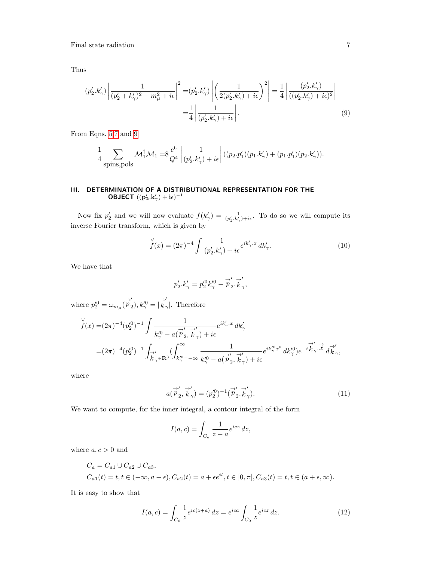Thus

$$
(p'_2.k'_\gamma)\left|\frac{1}{(p'_2+k'_\gamma)^2-m_\mu^2+i\epsilon}\right|^2 = (p'_2.k'_\gamma)\left|\left(\frac{1}{2(p'_2.k'_\gamma)+i\epsilon}\right)^2\right| = \frac{1}{4}\left|\frac{(p'_2.k'_\gamma)}{((p'_2.k'_\gamma)+i\epsilon)^2}\right|
$$

$$
= \frac{1}{4}\left|\frac{1}{(p'_2.k'_\gamma)+i\epsilon}\right|.
$$
(9)

From Eqns. [5,](#page-4-0)[7](#page-5-0) and [9](#page-6-1)

$$
\frac{1}{4} \sum_{\text{spins,pols}} \mathcal{M}_1^{\dagger} \mathcal{M}_1 = 8 \frac{e^6}{Q^4} \left| \frac{1}{(p_2'.k_{\gamma}') + i\epsilon} \right| ((p_2.p_1')(p_1.k_{\gamma}') + (p_1.p_1')(p_2.k_{\gamma}')).
$$

### <span id="page-6-0"></span>III. DETERMINATION OF A DISTRIBUTIONAL REPRESENTATION FOR THE **OBJECT**  $((p_2'.k_\gamma') + i\epsilon)^{-1}$

Now fix  $p'_2$  and we will now evaluate  $f(k'_\gamma) = \frac{1}{(p'_2 \cdot k'_\gamma) + i\epsilon}$ . To do so we will compute its inverse Fourier transform, which is given by

<span id="page-6-1"></span>
$$
\check{f}(x) = (2\pi)^{-4} \int \frac{1}{(p'_2.k'_\gamma) + i\epsilon} e^{ik'_\gamma \cdot x} dk'_\gamma.
$$
 (10)

We have that

$$
p_2'.k'_{\gamma} = p_2'^0 k'^0_{\gamma} - \overrightarrow{p}_2'.\overrightarrow{k}_{\gamma}',
$$

where  $p_2^{\prime 0} = \omega_{m_\mu} (\stackrel{\rightarrow}{p}_2^{\prime}$  $\binom{1}{2}$ ,  $k''^0 \stackrel{\longrightarrow}{k}$ γ |. Therefore

$$
\check{f}(x) = (2\pi)^{-4} (p_2'^0)^{-1} \int \frac{1}{k_\gamma'^0 - a(\vec{p}_2', \vec{k}_\gamma) + i\epsilon} e^{ik_\gamma' \cdot x} dk_\gamma'
$$
  
=  $(2\pi)^{-4} (p_2'^0)^{-1} \int_{\vec{k}_\gamma' \in \mathbf{R}^3} (\int_{k_\gamma'^0 = -\infty}^{\infty} \frac{1}{k_\gamma'^0 - a(\vec{p}_2', \vec{k}_\gamma) + i\epsilon} e^{ik_\gamma'^0 x^0} dk_\gamma'^0 e^{-i\vec{k}_\gamma' \cdot \vec{x}} d\vec{k}_\gamma',$ 

where

$$
a(\vec{p}'_2, \vec{k}'_\gamma) = (p'^0_2)^{-1} (\vec{p}'_2, \vec{k}'_\gamma). \tag{11}
$$

We want to compute, for the inner integral, a contour integral of the form

$$
I(a,c) = \int_{C_a} \frac{1}{z-a} e^{icz} dz,
$$

where  $a, c > 0$  and

$$
C_a = C_{a1} \cup C_{a2} \cup C_{a3},
$$
  
\n
$$
C_{a1}(t) = t, t \in (-\infty, a - \epsilon), C_{a2}(t) = a + \epsilon e^{it}, t \in [0, \pi], C_{a3}(t) = t, t \in (a + \epsilon, \infty).
$$

It is easy to show that

$$
I(a,c) = \int_{C_0} \frac{1}{z} e^{ic(z+a)} dz = e^{ica} \int_{C_0} \frac{1}{z} e^{icz} dz.
$$
 (12)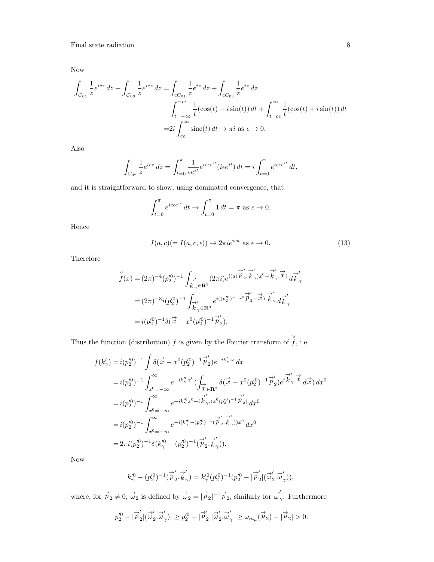Now

$$
\int_{C_{01}} \frac{1}{z} e^{icz} dz + \int_{C_{03}} \frac{1}{z} e^{icz} dz = \int_{cC_{01}} \frac{1}{z} e^{iz} dz + \int_{cC_{03}} \frac{1}{z} e^{iz} dz
$$
\n
$$
\int_{t=-\infty}^{-c\epsilon} \frac{1}{t} (\cos(t) + i \sin(t)) dt + \int_{t=c\epsilon}^{\infty} \frac{1}{t} (\cos(t) + i \sin(t)) dt
$$
\n
$$
= 2i \int_{c\epsilon}^{\infty} \operatorname{sinc}(t) dt \to \pi i \text{ as } \epsilon \to 0.
$$

Also

$$
\int_{C_{02}} \frac{1}{z} e^{icz} dz = \int_{t=0}^{\pi} \frac{1}{\epsilon e^{it}} e^{ic\epsilon e^{it}} (i\epsilon e^{it}) dt = i \int_{t=0}^{\pi} e^{ic\epsilon e^{it}} dt,
$$

and it is straightforward to show, using dominated convergence, that

$$
\int_{t=0}^{\pi} e^{i c \epsilon e^{it}} dt \to \int_{t=0}^{\pi} 1 dt = \pi \text{ as } \epsilon \to 0.
$$

Hence

$$
I(a,c) (= I(a,c,\epsilon)) \to 2\pi i e^{ica} \text{ as } \epsilon \to 0.
$$
 (13)

Therefore

$$
\check{f}(x) = (2\pi)^{-4} (p_2^{\prime 0})^{-1} \int_{\vec{k}_\gamma \in \mathbf{R}^3} (2\pi i) e^{i(a(\vec{p}_2', \vec{k}_\gamma) x^0 - \vec{k}_\gamma', \vec{x})} d\vec{k}_\gamma'
$$
  
\n
$$
= (2\pi)^{-3} i (p_2^{\prime 0})^{-1} \int_{\vec{k}_\gamma \in \mathbf{R}^3} e^{i((p_2^{\prime 0})^{-1} x^0 \vec{p}_2' - \vec{x}) \cdot \vec{k}_\gamma} d\vec{k}_\gamma'
$$
  
\n
$$
= i (p_2^{\prime 0})^{-1} \delta(\vec{x} - x^0 (p_2^{\prime 0})^{-1} \vec{p}_2').
$$

Thus the function (distribution) f is given by the Fourier transform of  $\overrightarrow{f}$ , i.e.

$$
f(k'_{\gamma}) = i(p_2'^0)^{-1} \int \delta(\vec{x} - x^0 (p_2'^0)^{-1} \vec{p}'_2) e^{-ik'_{\gamma} \cdot x} dx
$$
  
\n
$$
= i(p_2'^0)^{-1} \int_{x^0 = -\infty}^{\infty} e^{-ik''_{\gamma}x^0} \left( \int_{\vec{x}} \delta(\vec{x} - x^0 (p_2'^0)^{-1} \vec{p}'_2) e^{i \vec{k}'_{\gamma} \cdot \vec{x}} d\vec{x} \right) dx^0
$$
  
\n
$$
= i(p_2'^0)^{-1} \int_{x^0 = -\infty}^{\infty} e^{-ik''_{\gamma}x^0 + i \vec{k}'_{\gamma} \cdot (x^0 (p_2'^0)^{-1} \vec{p}'_2)} d\vec{x}^0
$$
  
\n
$$
= i(p_2'^0)^{-1} \int_{x^0 = -\infty}^{\infty} e^{-i(k''_{\gamma} - (p_2'^0)^{-1} (\vec{p}'_2 \cdot \vec{k}'_{\gamma}))x^0} d\vec{x}^0
$$
  
\n
$$
= 2\pi i (p_2'^0)^{-1} \delta(k''_{\gamma} - (p_2'^0)^{-1} (\vec{p}'_2 \cdot \vec{k}'_{\gamma})).
$$

Now

$$
k_\gamma^{\prime 0}-(p_2^{\prime 0})^{-1}(\stackrel{\rightarrow}{p}_2'.\stackrel{\rightarrow}{k}_\gamma')=k_\gamma^{\prime 0}(p_2^{\prime 0})^{-1}(p_2^{\prime 0}-|\stackrel{\rightarrow}{p}_2'|(\stackrel{\rightarrow}{\omega}_2'.\stackrel{\rightarrow}{\omega}_\gamma')),
$$

where, for  $\overrightarrow{p}_2 \neq 0$ ,  $\overrightarrow{\omega}_2$  is defined by  $\overrightarrow{\omega}_2 = |\overrightarrow{p}_2|^{-1} \overrightarrow{p}_2$ , similarly for  $\overrightarrow{\omega}_2$ γ . Furthermore

$$
|p'^0_2 - |\overrightarrow{p}'_2|(\overrightarrow{\omega}'_2.\overrightarrow{\omega}'_{\gamma})| \geq p'^0_2 - |\overrightarrow{p}'_2||\overrightarrow{\omega}'_2.\overrightarrow{\omega}'_{\gamma}| \geq \omega_{m_{\mu}}(\overrightarrow{p}_2) - |\overrightarrow{p}_2| > 0.
$$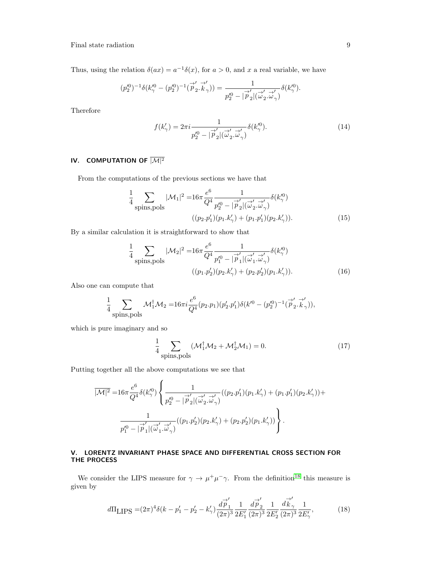Thus, using the relation  $\delta(ax) = a^{-1}\delta(x)$ , for  $a > 0$ , and x a real variable, we have

$$
(p'^0_2)^{-1}\delta(k''_\gamma-(p'^0_2)^{-1}(\stackrel{\rightarrow}{p}'_2.\stackrel{\rightarrow}{k}_\gamma))=\frac{1}{p'^0_2-|\stackrel{\rightarrow}{p}'_2|(\stackrel{\rightarrow}{\omega}'_2.\stackrel{\rightarrow}{\omega}'_\gamma)}\delta(k''_\gamma).
$$

Therefore

$$
f(k'_{\gamma}) = 2\pi i \frac{1}{p_2^{\prime 0} - |\vec{p}_2'||\vec{\omega}_2'\vec{\omega}_\gamma'} \delta(k''_{\gamma}).
$$
\n(14)

# <span id="page-8-0"></span>IV. COMPUTATION OF  $\overline{|\mathcal{M}|^2}$

From the computations of the previous sections we have that

$$
\frac{1}{4} \sum_{\text{spins}, \text{pols}} |\mathcal{M}_1|^2 = 16\pi \frac{e^6}{Q^4} \frac{1}{p_2'^0 - |\vec{p}_2'| (\vec{\omega}_2' \cdot \vec{\omega}_\gamma')} \delta(k_\gamma'^0)
$$
\n
$$
((p_2 \cdot p_1')(p_1 \cdot k_\gamma') + (p_1 \cdot p_1')(p_2 \cdot k_\gamma')). \tag{15}
$$

By a similar calculation it is straightforward to show that

$$
\frac{1}{4} \sum_{\text{spins,pols}} |\mathcal{M}_2|^2 = 16\pi \frac{e^6}{Q^4} \frac{1}{p_1'^0 - |\vec{p}_1'||(\vec{\omega}_1', \vec{\omega}_2')}\delta(k_2'^0)
$$

$$
((p_1 \cdot p_2')(p_2 \cdot k_2') + (p_2 \cdot p_2')(p_1 \cdot k_2')).
$$
(16)

Also one can compute that

$$
\frac{1}{4} \sum_{\text{spins}, \text{pols}} \mathcal{M}_1^{\dagger} \mathcal{M}_2 = 16\pi i \frac{e^6}{Q^4} (p_2 \cdot p_1) (p'_2 \cdot p'_1) \delta(k'^0 - (p'^0_2)^{-1} (\vec{p}'_2 \cdot \vec{k}'_2)),
$$

which is pure imaginary and so

$$
\frac{1}{4} \sum_{\text{spins, pols}} (\mathcal{M}_1^{\dagger} \mathcal{M}_2 + \mathcal{M}_2^{\dagger} \mathcal{M}_1) = 0.
$$
 (17)

Putting together all the above computations we see that

$$
\overline{|\mathcal{M}|^2}= \\ 16\pi\frac{e^6}{Q^4}\delta(k_\gamma'^0)\left\{\frac{1}{p_2'^0-|\overrightarrow{p}_2'|\overrightarrow{(\omega}_2',\overrightarrow{\omega}'_\gamma)}((p_2.p_1')(p_1.k_\gamma')+(p_1.p_1')(p_2.k_\gamma'))+\right.\\ \left.\frac{1}{p_1'^0-|\overrightarrow{p}_1'|\overrightarrow{(\omega}_1',\overrightarrow{\omega}_\gamma)}((p_1.p_2')(p_2.k_\gamma')+(p_2.p_2')(p_1.k_\gamma'))\right\}.
$$

### <span id="page-8-1"></span>V. LORENTZ INVARIANT PHASE SPACE AND DIFFERENTIAL CROSS SECTION FOR THE PROCESS

We consider the LIPS measure for  $\gamma \to \mu^+ \mu^- \gamma$ . From the definition<sup>[18](#page-12-14)</sup> this measure is given by

$$
d\Pi_{\text{LIPS}} = (2\pi)^4 \delta(k - p_1' - p_2' - k_\gamma') \frac{d\vec{p}_1'}{(2\pi)^3} \frac{1}{2E_1'} \frac{d\vec{p}_2'}{(2\pi)^3} \frac{1}{2E_2'} \frac{d\vec{k}_\gamma'}{(2\pi)^3} \frac{1}{2E_\gamma'},\tag{18}
$$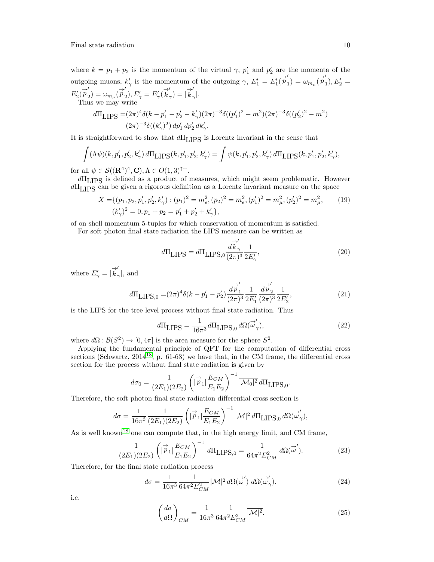where  $k = p_1 + p_2$  is the momentum of the virtual  $\gamma$ ,  $p'_1$  and  $p'_2$  are the momenta of the outgoing muons,  $k'_{\gamma}$  is the momentum of the outgoing  $\gamma$ ,  $E'_1 = E'_1(\vec{p}')$  $\binom{1}{1} = \omega_{m_{\mu}}(\vec{p}_{1}^{\prime})$  $_1), E'_2 =$  $E_2(\overrightarrow{p}_{2}^{\prime}% )\rightarrow\mathcal{O}(p_{2}^{\prime})$  $\mathcal{L}'_2$ ) =  $\omega_{m_\mu}(\overrightarrow{p}_2')$  $\mathcal{L}_2^{\prime}$ ),  $E_{\gamma}^{\prime}=E_{\gamma}^{\prime}(\overrightarrow{k},$  $\begin{pmatrix} 1 \\ \gamma \end{pmatrix} = \begin{pmatrix} -1 \\ k \end{pmatrix}$  $_{\gamma}|.$ Thus we may write

$$
d\Pi_{\text{LIPS}} = (2\pi)^4 \delta(k - p_1' - p_2' - k_\gamma')(2\pi)^{-3} \delta((p_1')^2 - m^2)(2\pi)^{-3} \delta((p_2')^2 - m^2)
$$
  

$$
(2\pi)^{-3} \delta((k_\gamma')^2) dp_1' dp_2' dk_\gamma'.
$$

It is straightforward to show that  $d\Pi_{\text{LIPS}}$  is Lorentz invariant in the sense that

$$
\int (\Lambda \psi)(k, p_1', p_2', k_\gamma') d\Pi_{\text{LIPS}}(k, p_1', p_2', k_\gamma') = \int \psi(k, p_1', p_2', k_\gamma') d\Pi_{\text{LIPS}}(k, p_1', p_2', k_\gamma'),
$$

for all  $\psi \in \mathcal{S}((\mathbf{R}^4)^4, \mathbf{C}), \Lambda \in O(1,3)^{\uparrow +}$ .

dΠLIPS is defined as a product of measures, which might seem problematic. However  $d\Pi_{\text{LIPS}}$  can be given a rigorous definition as a Lorentz invariant measure on the space

$$
X = \{(p_1, p_2, p'_1, p'_2, k'_\gamma) : (p_1)^2 = m_e^2, (p_2)^2 = m_e^2, (p'_1)^2 = m_\mu^2, (p'_2)^2 = m_\mu^2, \qquad (19)
$$
  

$$
(k'_\gamma)^2 = 0, p_1 + p_2 = p'_1 + p'_2 + k'_\gamma \},
$$

of on shell momentum 5-tuples for which conservation of momentum is satisfied.

For soft photon final state radiation the LIPS measure can be written as

$$
d\Pi_{\text{LIPS}} = d\Pi_{\text{LIPS},0} \frac{d\vec{k}'_{\gamma}}{(2\pi)^3} \frac{1}{2E'_{\gamma}},\tag{20}
$$

where  $E'_{\gamma} = |\vec{k}|$ .  $_{\gamma}|, \text{ and}$ 

$$
d\Pi_{\text{LIPS},0} = (2\pi)^4 \delta(k - p_1' - p_2') \frac{d\vec{p}_1'}{(2\pi)^3} \frac{1}{2E_1'} \frac{d\vec{p}_2'}{(2\pi)^3} \frac{1}{2E_2'},\tag{21}
$$

is the LIPS for the tree level process without final state radiation. Thus

$$
d\Pi_{\text{LIPS}} = \frac{1}{16\pi^3} d\Pi_{\text{LIPS},0} d\Omega(\vec{\omega}'_{\gamma}),\tag{22}
$$

where  $d\Omega : \mathcal{B}(S^2) \to [0, 4\pi]$  is the area measure for the sphere  $S^2$ .

Applying the fundamental principle of QFT for the computation of differential cross sections (Schwartz,  $2014^{18}$  $2014^{18}$  $2014^{18}$ , p.  $61-63$ ) we have that, in the CM frame, the differential cross section for the process without final state radiation is given by

$$
d\sigma_0 = \frac{1}{(2E_1)(2E_2)} \left( |\vec{p}_1| \frac{E_{CM}}{E_1 E_2} \right)^{-1} |\overline{\mathcal{M}_0|^2} d\Pi_{\text{LIPS},0}.
$$

Therefore, the soft photon final state radiation differential cross section is

$$
d\sigma = \frac{1}{16\pi^3} \frac{1}{(2E_1)(2E_2)} \left( |\vec{p}_1| \frac{E_{CM}}{E_1 E_2} \right)^{-1} \frac{|\mathcal{M}|^2}{|\mathcal{M}|^2} d\Pi_{\text{LIPS},0} d\Omega(\vec{\omega}'_{\gamma}),
$$

As is well known<sup>[18](#page-12-14)</sup> one can compute that, in the high energy limit, and CM frame,

$$
\frac{1}{(2E_1)(2E_2)} \left( |\vec{p}_1| \frac{E_{CM}}{E_1 E_2} \right)^{-1} d\Pi_{\text{LIPS},0} = \frac{1}{64\pi^2 E_{CM}^2} d\Omega(\vec{\omega}'). \tag{23}
$$

Therefore, for the final state radiation process

$$
d\sigma = \frac{1}{16\pi^3} \frac{1}{64\pi^2 E_{CM}^2} \overline{|\mathcal{M}|^2} \, d\Omega(\vec{\omega}') \, d\Omega(\vec{\omega}'_\gamma). \tag{24}
$$

i.e.

$$
\left(\frac{d\sigma}{d\Omega}\right)_{CM} = \frac{1}{16\pi^3} \frac{1}{64\pi^2 E_{CM}^2} \overline{|\mathcal{M}|^2}.
$$
\n(25)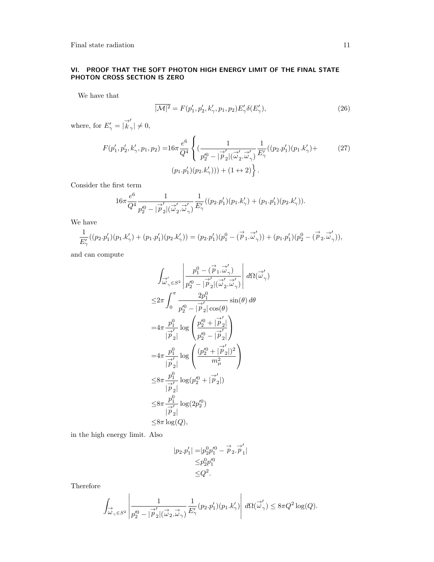## <span id="page-10-0"></span>VI. PROOF THAT THE SOFT PHOTON HIGH ENERGY LIMIT OF THE FINAL STATE PHOTON CROSS SECTION IS ZERO

We have that

$$
\overline{|\mathcal{M}|^2} = F(p'_1, p'_2, k'_\gamma, p_1, p_2) E'_\gamma \delta(E'_\gamma), \tag{26}
$$

where, for  $E'_{\gamma} = |\overrightarrow{k}|$ .  $_{\gamma}$ |  $\neq$  0,

$$
F(p'_1, p'_2, k'_\gamma, p_1, p_2) = 16\pi \frac{e^6}{Q^4} \left\{ \left( \frac{1}{p'^0_2 - |\vec{p}'_2| (\vec{\omega}'_2, \vec{\omega}'_\gamma)} \frac{1}{E'_\gamma} ((p_2. p'_1)(p_1. k'_\gamma) + (p_1. p'_1)(p_2. k'_\gamma)) + (1 \leftrightarrow 2) \right\}.
$$
\n
$$
(p_1. p'_1)(p_2. k'_\gamma)) + (1 \leftrightarrow 2) \left\}.
$$

Consider the first term

$$
16\pi \frac{e^6}{Q^4} \frac{1}{p'^0_2 - |\stackrel{\rightarrow}{p}_2|(\stackrel{\rightarrow}{\omega}'_2, \stackrel{\rightarrow}{\omega}'_\gamma)} \frac{1}{E'_\gamma}((p_2.p'_1)(p_1.k'_\gamma) + (p_1.p'_1)(p_2.k'_\gamma)).
$$

We have

$$
\frac{1}{E'_{\gamma}}((p_2.p'_1)(p_1.k'_{\gamma})+(p_1.p'_1)(p_2.k'_{\gamma}))=(p_2.p'_1)(p_1^0-(\stackrel{\rightarrow}{p}_1.\stackrel{\rightarrow}{\omega}'_{\gamma}))+ (p_1.p'_1)(p_2^0-(\stackrel{\rightarrow}{p}_2.\stackrel{\rightarrow}{\omega}'_{\gamma})),
$$

and can compute

$$
\begin{split} &\int_{\overrightarrow{\omega}_{\gamma}^{'}\in S^2}\left|\frac{p_1^0-(\overrightarrow{p}_1.\overrightarrow{\omega}_{\gamma}^{'})}{p_2^{'0}-|\overrightarrow{p}_2^{'}|(\overrightarrow{\omega}_2^{'}.\overrightarrow{\omega}_{\gamma}^{'})}\right|\,d\Omega(\overrightarrow{\omega}_{\gamma}^{'})\\ \leq&2\pi\int_{0}^{\pi}\frac{2p_1^0}{p_2^{'0}-|\overrightarrow{p}_2^{'}|\cos(\theta)}\sin(\theta)\,d\theta\\ =&4\pi\frac{p_1^0}{|\overrightarrow{p}_2^{'}|}\log\left(\frac{p_2^{'0}+|\overrightarrow{p}_2^{'}|}{p_2^{'0}-|\overrightarrow{p}_2^{'}|}\right)\\ =&4\pi\frac{p_1^0}{|\overrightarrow{p}_2^{'}|}\log\left(\frac{(p_2^{'0}+|\overrightarrow{p}_2^{'}|)^2}{m_{\mu}^2}\right)\\ \leq&8\pi\frac{p_1^0}{|\overrightarrow{p}_2|}\log(p_2^{'0}+|\overrightarrow{p}_2^{'}|)\\ \leq&8\pi\frac{p_1^0}{|\overrightarrow{p}_2|}\log(2p_2^{'0})\\ \leq&8\pi\log(Q), \end{split}
$$

in the high energy limit. Also

$$
|p_2 \cdot p_1'| = |p_2^0 p_1'^0 - \vec{p}_2 \cdot \vec{p}_1'|
$$
  
\n
$$
\leq p_2^0 p_1'^0
$$
  
\n
$$
\leq Q^2.
$$

Therefore

$$
\int_{\overrightarrow{\omega}_{\gamma} \in S^2} \left| \frac{1}{p_2'^0 - |\overrightarrow{p}_2'| (\overrightarrow{\omega}_2.\overrightarrow{\omega}_{\gamma})} \frac{1}{E_{\gamma}'}(p_2.p_1')(p_1.k_{\gamma}') \right| \, d\Omega(\overrightarrow{\omega}_{\gamma}') \leq 8\pi Q^2 \log(Q).
$$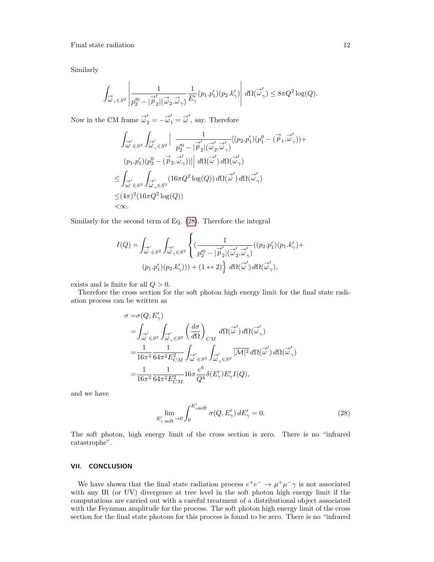Similarly

$$
\int_{\overrightarrow{\omega}_{\gamma} \in S^2} \left| \frac{1}{p_2'^0 - |\overrightarrow{p}_2'|(\overrightarrow{\omega}_2, \overrightarrow{\omega}_{\gamma})} \frac{1}{E'_{\gamma}} (p_1 \cdot p_1')(p_2 \cdot k_{\gamma}') \right| d\Omega(\overrightarrow{\omega}_{\gamma}') \leq 8\pi Q^2 \log(Q).
$$

Now in the CM frame  $\vec{\omega}'_2 = -\vec{\omega}'_1 = \vec{\omega}'$ , say. Therefore

$$
\int_{\vec{\omega}' \in S^2} \int_{\vec{\omega}'_{\gamma} \in S^2} \left| \frac{1}{p_2^{\prime 0} - |\vec{p}_2^{\prime}| (\vec{\omega}_2^{\prime} \cdot \vec{\omega}'_{\gamma})} [ (p_2 \cdot p_1^{\prime}) (p_1^0 - (\vec{p}_1 \cdot \vec{\omega}'_{\gamma})) +
$$
  
\n
$$
(p_1 \cdot p_1^{\prime}) (p_2^0 - (\vec{p}_2 \cdot \vec{\omega}'_{\gamma})) ] \right| d\Omega(\vec{\omega}') d\Omega(\vec{\omega}')
$$
  
\n
$$
\leq \int_{\vec{\omega}' \in S^2} \int_{\vec{\omega}'_{\gamma} \in S^2} (16\pi Q^2 \log(Q)) d\Omega(\vec{\omega}') d\Omega(\vec{\omega}'_{\gamma})
$$
  
\n
$$
\leq (4\pi)^2 (16\pi Q^2 \log(Q))
$$
  
\n
$$
< \infty.
$$

Similarly for the second term of Eq. [\(28\)](#page-11-1). Therefore the integral

$$
I(Q) = \int_{\overrightarrow{\omega}' \in S^2} \int_{\overrightarrow{\omega}'_{\gamma} \in S^2} \left\{ \left( \frac{1}{p_2^{\prime 0} - |\overrightarrow{p}_2| (\overrightarrow{\omega}'_2 \cdot \overrightarrow{\omega}'_{\gamma})} ((p_2 \cdot p_1')(p_1 \cdot k'_{\gamma}) + (p_1 \cdot p_1')(p_2 \cdot k'_{\gamma})) \right) + (1 \leftrightarrow 2) \right\} d\Omega(\overrightarrow{\omega}') d\Omega(\overrightarrow{\omega}'_{\gamma}),
$$

 $\overline{ }$ 

exists and is finite for all  $Q > 0$ .

Therefore the cross section for the soft photon high energy limit for the final state radiation process can be written as

$$
\sigma = \sigma(Q, E'_{\gamma})
$$
\n
$$
= \int_{\overrightarrow{\omega}' \in S^2} \int_{\overrightarrow{\omega}'_{\gamma} \in S^2} \left(\frac{d\sigma}{d\Omega}\right)_{CM} d\Omega(\overrightarrow{\omega}') d\Omega(\overrightarrow{\omega}'_{\gamma})
$$
\n
$$
= \frac{1}{16\pi^3} \frac{1}{64\pi^2 E_{CM}^2} \int_{\overrightarrow{\omega}' \in S^2} \int_{\overrightarrow{\omega}'_{\gamma} \in S^2} \overrightarrow{|M|^2} d\Omega(\overrightarrow{\omega}') d\Omega(\overrightarrow{\omega}'_{\gamma})
$$
\n
$$
= \frac{1}{16\pi^3} \frac{1}{64\pi^2 E_{CM}^2} 16\pi \frac{e^6}{Q^4} \delta(E'_{\gamma}) E'_{\gamma} I(Q),
$$

and we have

<span id="page-11-1"></span>
$$
\lim_{E'_{\gamma, \text{soft}} \to 0} \int_0^{E'_{\gamma, \text{soft}}} \sigma(Q, E'_{\gamma}) dE'_{\gamma} = 0.
$$
 (28)

The soft photon, high energy limit of the cross section is zero. There is no "infrared catastrophe".

### <span id="page-11-0"></span>VII. CONCLUSION

We have shown that the final state radiation process  $e^+e^- \to \mu^+\mu^-\gamma$  is not associated with any IR (or UV) divergence at tree level in the soft photon high energy limit if the computations are carried out with a careful treatment of a distributional object associated with the Feynman amplitude for the process. The soft photon high energy limit of the cross section for the final state photons for this process is found to be zero. There is no "infrared